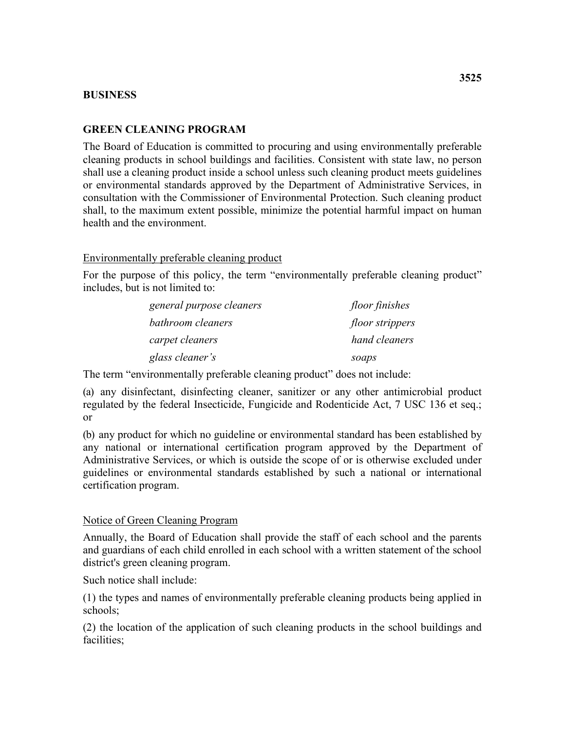## **BUSINESS**

## **GREEN CLEANING PROGRAM**

 shall use a cleaning product inside a school unless such cleaning product meets guidelines The Board of Education is committed to procuring and using environmentally preferable cleaning products in school buildings and facilities. Consistent with state law, no person or environmental standards approved by the Department of Administrative Services, in consultation with the Commissioner of Environmental Protection. Such cleaning product shall, to the maximum extent possible, minimize the potential harmful impact on human health and the environment.

Environmentally preferable cleaning product

For the purpose of this policy, the term "environmentally preferable cleaning product" includes, but is not limited to:

| general purpose cleaners | floor finishes         |
|--------------------------|------------------------|
| bathroom cleaners        | <i>floor strippers</i> |
| carpet cleaners          | hand cleaners          |
| glass cleaner's          | soaps                  |

The term "environmentally preferable cleaning product" does not include:

(a) any disinfectant, disinfecting cleaner, sanitizer or any other antimicrobial product regulated by the federal Insecticide, Fungicide and Rodenticide Act, 7 USC 136 et seq.; or

 certification program. (b) any product for which no guideline or environmental standard has been established by any national or international certification program approved by the Department of Administrative Services, or which is outside the scope of or is otherwise excluded under guidelines or environmental standards established by such a national or international

## Notice of Green Cleaning Program

Annually, the Board of Education shall provide the staff of each school and the parents and guardians of each child enrolled in each school with a written statement of the school district's green cleaning program.

Such notice shall include:

(1) the types and names of environmentally preferable cleaning products being applied in schools;

(2) the location of the application of such cleaning products in the school buildings and facilities;